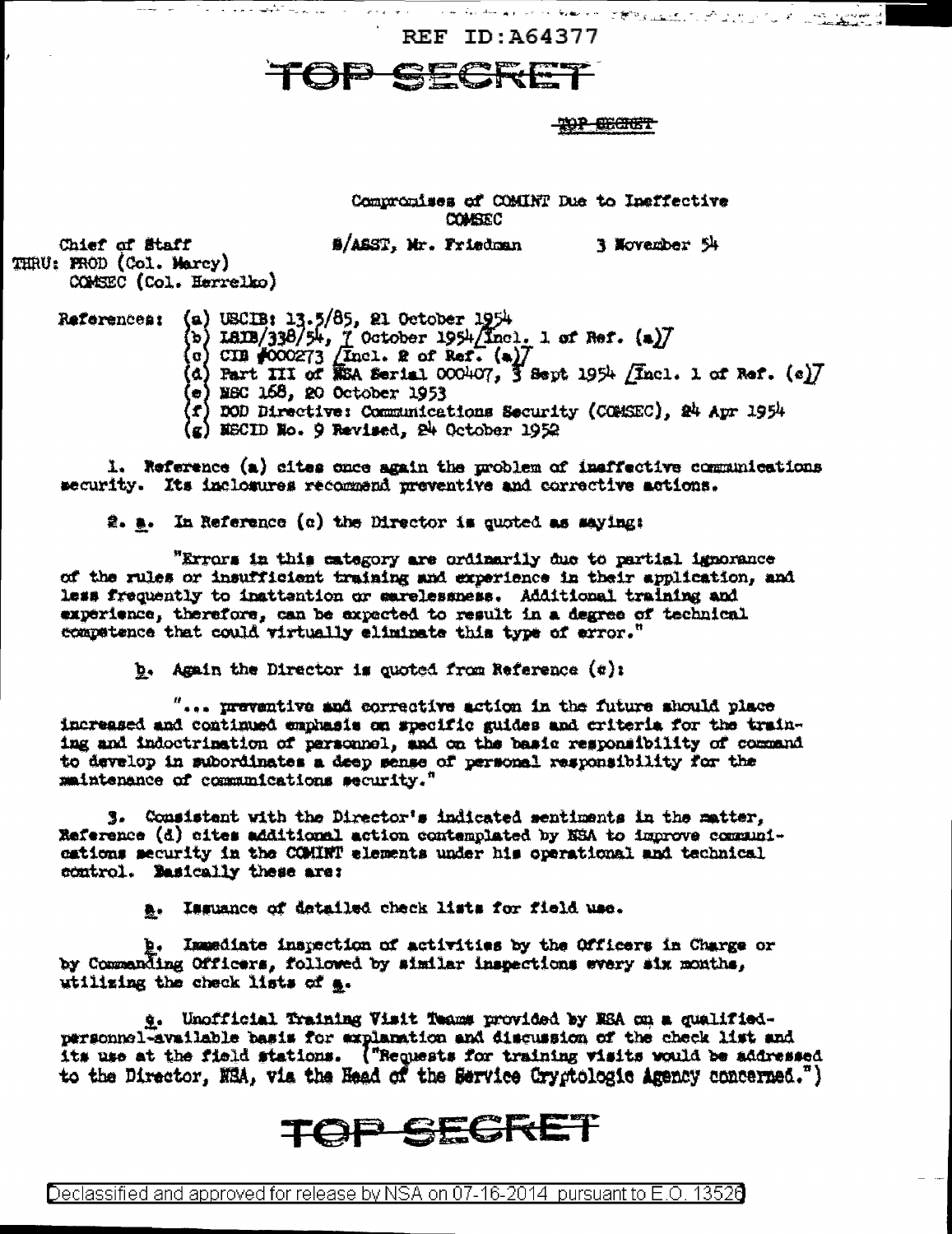**REF ID: A64377** 

TOP SECT

## <del>-2017 CECTET</del>

and the same of the same of the same of the same of the same of the same of the same of the same of the same of the same of the same of the same of the same of the same of the same of the same of the same of the same of th

Compromises of COMINT Due to Insffective **COMBEC** 

#/ASST, Mr. Friedman 3 November 54

Chief of Staff THRU: PROD (Col. Marcy) COMSEC (Col. Herrelko)

الهرارين أأتقط والمحاجب

References: (a) USCIB: 13.5/85, 21 October 1954<br>(b) ISIB/338/54, 7 October 1954/Incl. 1 of Ref. (a)7<br>(c) CIB #000273 /Incl. 2 of Ref. (a)7<br>(d) Part III of RSA Serial 000407, 3 Sept 1954 /Incl. 1 of Ref. (e)7

 $(e)$  MSC  $168$ , 20 October 1953

f) DOD Directive: Communications Security (COMSEC), 24 Apr 1954

 $(g)$  MSCID No. 9 Revised, 24 October 1952

1. Reference (a) cites once again the problem of insffective communications security. Its inclosures recommend preventive and corrective actions.

 $\hat{x}_1$ . In Reference (c) the Director is quoted as saying:

"Errors in this category are ordinarily due to partial ignorance of the rules or insufficient training and experience in their application, and less frequently to insttantion or sarelessness. Additional training and experience, therefore, can be expected to result in a degree of technical compatence that could virtually eliminate this type of error."

 $b.$  Again the Director is quoted from Reference  $(b)$ :

 $"...$  preventive and corrective action in the future should place increased and continued emphasis on specific guides and criteria for the training and indoctrination of personnel, and on the basic responsibility of command to develop in subordinates a deep sense of personal responsibility for the maintenance of communications security."

3. Consistent with the Director's indicated sentiments in the matter, Reference (d) cites additional action contemplated by NSA to improve communications security in the COMINT elements under his operational and technical control. Basically these are:

a. Issuance of detailed check lists for field use.

b. Immediate inspection of activities by the Officers in Charge or by Commanding Officers, followed by similar inspections every six months, utilizing the check lists of a.

g. Unofficial Training Visit Teams provided by ESA on a qualifiedpersonnel-available basis for explanation and discussion of the check list and its use at the field stations. ("Requests for training visits would be addressed to the Director, NRA, via the Head of the Service Cryptologic Agency concerned.")

## TOP SEGRET

Declassified and approved for release by NSA on 07-16-2014  $\,$  pursuant to E.O. 13528  $\,$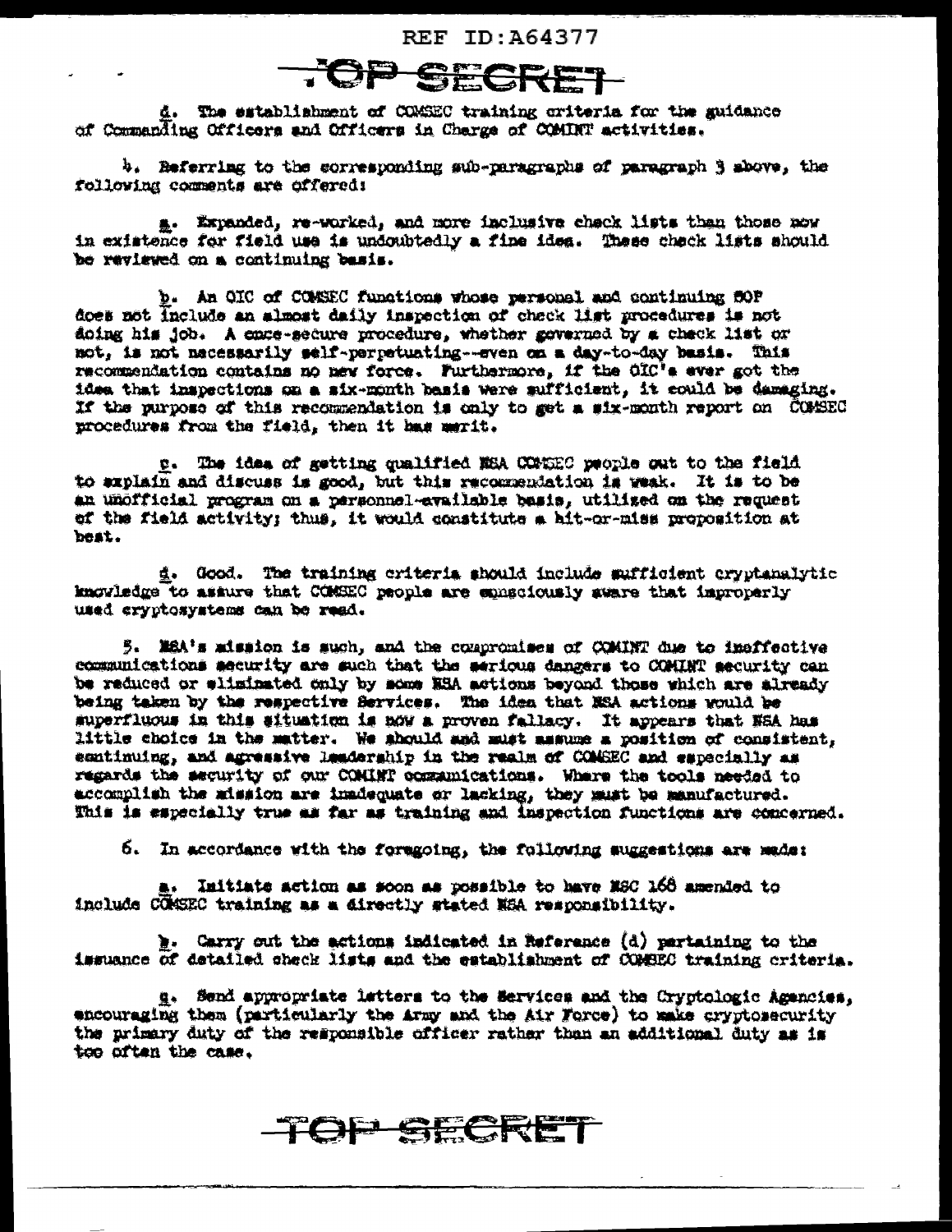REF ID: 464377

d. The establishment of COMSEC training criteria for the guidance of Commanding Officers and Officers in Charge of COMINT activities.

b. Referring to the corresponding sub-paragraphs of paragraph 3 above, the following comments are offered:

a. Expanded, re-worked, and more inclusive chack lists than those now in existence for field use is undoubtedly a fine idea. These check lists should be reviewed on a continuing basis.

b. An OIC of COMSEC functions whose personal and continuing SOP does not include an almost daily inspection of check list procedures is not doing his job. A empe-secure procedure, whether governed by a check list or not, is not necessarily self-perpetuating--even on a day-to-day basis. This recommendation contains no new force. Furthermore, if the OIC's ever got the idea that inspections on a six-month basis were sufficient, it could be damaging. If the purpose of this recommendation is only to get a six-month report on COMSEC procedures from the field, then it has merit.

p. The idea of getting qualified MSA CONSEC people out to the field to explain and discuss is good, but this recommendation is weak. It is to be an unofficial program on a personnel-available basis, utilized on the request of the field activity; thus, it would constitute a hit-or-miss proposition at beat.

d. Good. The training criteria should include sufficient cryptanalytic imoviedge to assure that COMEEC people are emmediously sware that improperly used cryptosystems can be read.

5. MSA's mission is such, and the compromises of COMINT due to imeffective communications security are such that the serious dangers to COMINT security can be reduced or eliminated only by mome HHA actions beyond those which are already being taken by the respective Services. The idea that NSA actions would be superfluous in this situation is now a proven fallacy. It appears that NSA has little choice in the matter. We should and must masume a position of consistent, esatinuing, and agressive leadership in the realm of COMSEC and especially as regards the security of our COMINT communications. Where the tools needed to accomplish the mission are immdequate or lacking, they must be manufactured. This is especially true as far as training and inspection functions are concerned.

6. In accordance with the foregoing, the following suggestions are made:

Imitiate action as soon as possible to have MSC 168 amended to include COMSEC training as a directly stated NSA responsibility.

». Carry out the actions indicated in Reference (d) partaining to the issuance of detailed check lists and the establishment of COMBEC training criteria.

g. Send appropriate letters to the Services and the Cryptologic Agencies. encouraging them (particularly the Army and the Air Force) to make cryptosecurity the primary duty of the responsible officer rather than an additional duty as is too often the case.

**TOP SECRET**